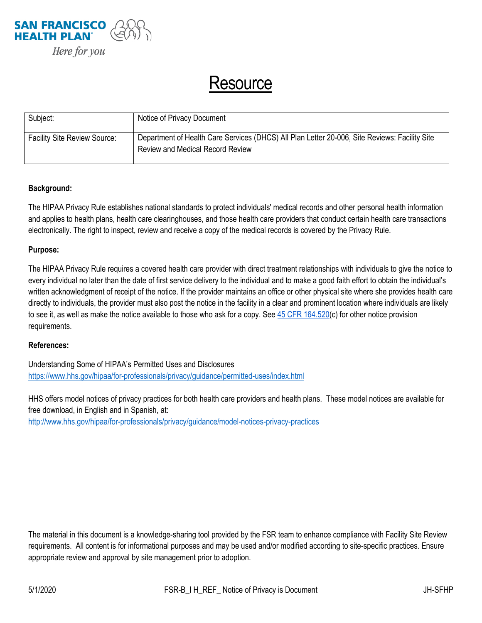

## Resource

| Subject:                            | Notice of Privacy Document                                                                                                               |
|-------------------------------------|------------------------------------------------------------------------------------------------------------------------------------------|
| <b>Facility Site Review Source:</b> | Department of Health Care Services (DHCS) All Plan Letter 20-006, Site Reviews: Facility Site<br><b>Review and Medical Record Review</b> |

## **Background:**

The HIPAA Privacy Rule establishes national standards to protect individuals' medical records and other personal health information and applies to health plans, health care clearinghouses, and those health care providers that conduct certain health care transactions electronically. The right to inspect, review and receive a copy of the medical records is covered by the Privacy Rule.

## **Purpose:**

The HIPAA Privacy Rule requires a covered health care provider with direct treatment relationships with individuals to give the notice to every individual no later than the date of first service delivery to the individual and to make a good faith effort to obtain the individual's written acknowledgment of receipt of the notice. If the provider maintains an office or other physical site where she provides health care directly to individuals, the provider must also post the notice in the facility in a clear and prominent location where individuals are likely to see it, as well as make the notice available to those who ask for a copy. Se[e 45 CFR 164.520\(](https://www.gpo.gov/fdsys/pkg/CFR-2003-title45-vol1/xml/CFR-2003-title45-vol1-sec164-520.xml)c) for other notice provision requirements.

## **References:**

Understanding Some of HIPAA's Permitted Uses and Disclosures <https://www.hhs.gov/hipaa/for-professionals/privacy/guidance/permitted-uses/index.html>

HHS offers model notices of privacy practices for both health care providers and health plans. These model notices are available for free download, in English and in Spanish, at:

<http://www.hhs.gov/hipaa/for-professionals/privacy/guidance/model-notices-privacy-practices>

The material in this document is a knowledge-sharing tool provided by the FSR team to enhance compliance with Facility Site Review requirements. All content is for informational purposes and may be used and/or modified according to site-specific practices. Ensure appropriate review and approval by site management prior to adoption.